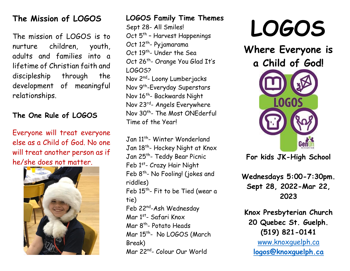## **The Mission of LOGOS**

The mission of LOGOS is to nurture children, youth, adults and families into a lifetime of Christian faith and discipleship through the development of meaningful relationships.

### **The One Rule of LOGOS**

Everyone will treat everyone else as a Child of God. No one will treat another person as if he/she does not matter.



### **LOGOS Family Time Themes** Sept 28- All Smiles! Oct 5<sup>th</sup> - Harvest Happenings Oct 12<sup>th</sup>- Pyjamarama Oct 19<sup>th</sup>- Under the Sea Oct 26<sup>th</sup>- Orange You Glad It's LOGOS? Nov 2<sup>nd</sup>- Loony Lumberjacks Nov 9<sup>th</sup>-Everyday Superstars Nov 16<sup>th</sup>- Backwards Night Nov 23rd - Angels Everywhere Nov 30<sup>th</sup>- The Most ONEderful Time of the Year!

Jan 11<sup>th</sup>- Winter Wonderland Jan 18<sup>th</sup>- Hockey Night at Knox Jan 25<sup>th</sup>- Teddy Bear Picnic Feb 1st- Crazy Hair Night Feb 8<sup>th</sup>- No Fooling! (jokes and riddles) Feb  $15^{th}$ - Fit to be Tied (wear a tie) Feb 22<sup>nd</sup>-Ash Wednesday Mar 1<sup>st</sup>- Safari Knox Mar 8<sup>th</sup>- Potato Heads Mar 15<sup>th</sup>- No LOGOS (March Break) Mar 22nd - Colour Our World

# **LOGOS**

**Where Everyone is a Child of God! LOGOS** 

**For kids JK-High School**

**Wednesdays 5:00-7:30pm. Sept 28, 2022-Mar 22, 2023**

**Knox Presbyterian Church 20 Quebec St. Guelph. (519) 821-0141** [www.knoxguelph.ca](about:blank) **[logos@knoxguelph.ca](mailto:logos@knoxguelph.ca)**